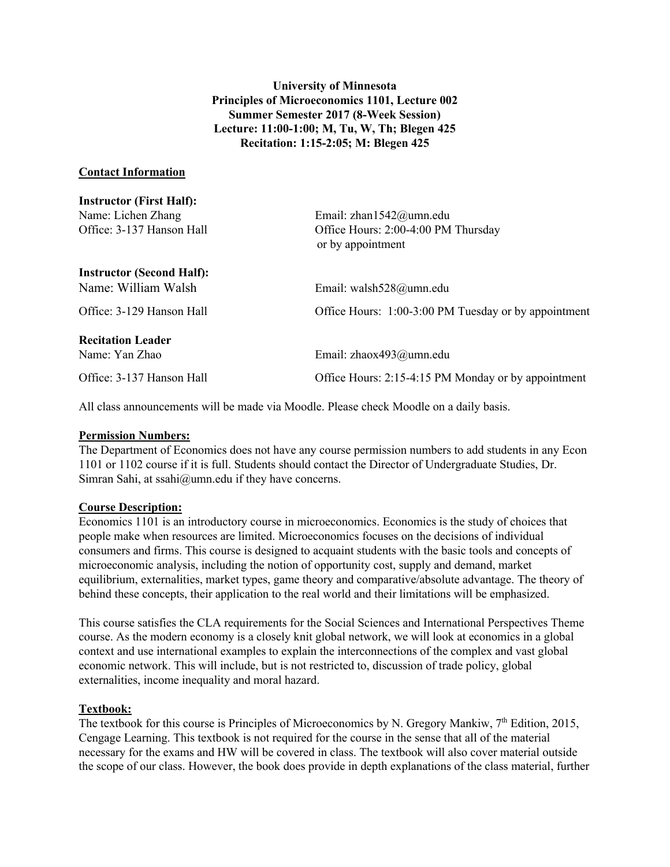**University of Minnesota Principles of Microeconomics 1101, Lecture 002 Summer Semester 2017 (8-Week Session) Lecture: 11:00-1:00; M, Tu, W, Th; Blegen 425 Recitation: 1:15-2:05; M: Blegen 425**

#### **Contact Information**

 $\overline{I}$   $\overline{I}$ 

| Instructor (First Half):         |                                                          |
|----------------------------------|----------------------------------------------------------|
| Name: Lichen Zhang               | Email: zhan $1542@$ umn.edu                              |
| Office: 3-137 Hanson Hall        | Office Hours: 2:00-4:00 PM Thursday<br>or by appointment |
| <b>Instructor (Second Half):</b> |                                                          |
| Name: William Walsh              | Email: walsh528@umn.edu                                  |
| Office: 3-129 Hanson Hall        | Office Hours: 1:00-3:00 PM Tuesday or by appointment     |
| <b>Recitation Leader</b>         |                                                          |
| Name: Yan Zhao                   | Email: zhaox493@umn.edu                                  |
| Office: 3-137 Hanson Hall        | Office Hours: 2:15-4:15 PM Monday or by appointment      |
|                                  |                                                          |

All class announcements will be made via Moodle. Please check Moodle on a daily basis.

#### **Permission Numbers:**

The Department of Economics does not have any course permission numbers to add students in any Econ 1101 or 1102 course if it is full. Students should contact the Director of Undergraduate Studies, Dr. Simran Sahi, at ssahi@umn.edu if they have concerns.

#### **Course Description:**

Economics 1101 is an introductory course in microeconomics. Economics is the study of choices that people make when resources are limited. Microeconomics focuses on the decisions of individual consumers and firms. This course is designed to acquaint students with the basic tools and concepts of microeconomic analysis, including the notion of opportunity cost, supply and demand, market equilibrium, externalities, market types, game theory and comparative/absolute advantage. The theory of behind these concepts, their application to the real world and their limitations will be emphasized.

This course satisfies the CLA requirements for the Social Sciences and International Perspectives Theme course. As the modern economy is a closely knit global network, we will look at economics in a global context and use international examples to explain the interconnections of the complex and vast global economic network. This will include, but is not restricted to, discussion of trade policy, global externalities, income inequality and moral hazard.

#### **Textbook:**

The textbook for this course is Principles of Microeconomics by N. Gregory Mankiw, 7<sup>th</sup> Edition, 2015, Cengage Learning. This textbook is not required for the course in the sense that all of the material necessary for the exams and HW will be covered in class. The textbook will also cover material outside the scope of our class. However, the book does provide in depth explanations of the class material, further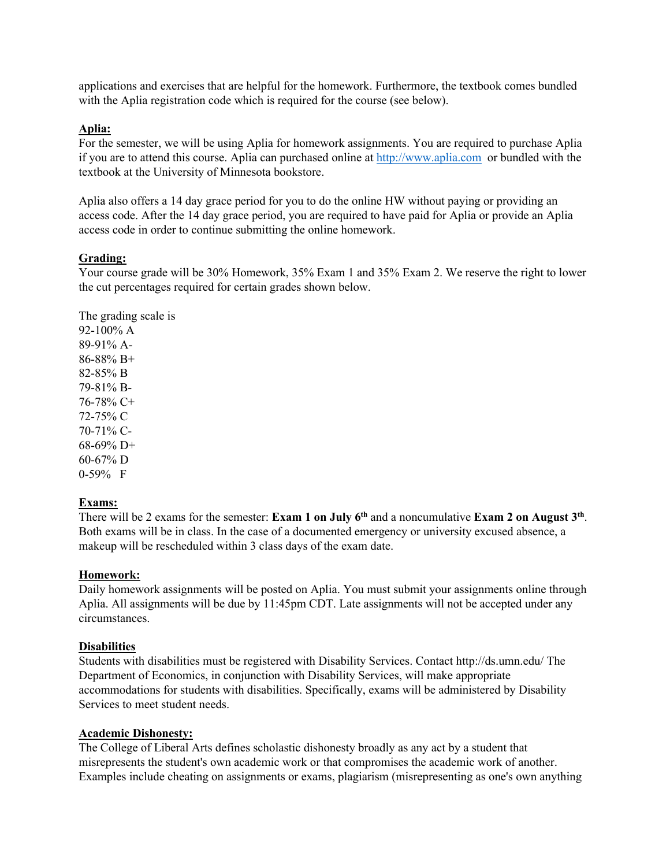applications and exercises that are helpful for the homework. Furthermore, the textbook comes bundled with the Aplia registration code which is required for the course (see below).

## **Aplia:**

For the semester, we will be using Aplia for homework assignments. You are required to purchase Aplia if you are to attend this course. Aplia can purchased online at http://www.aplia.com or bundled with the textbook at the University of Minnesota bookstore.

Aplia also offers a 14 day grace period for you to do the online HW without paying or providing an access code. After the 14 day grace period, you are required to have paid for Aplia or provide an Aplia access code in order to continue submitting the online homework.

## **Grading:**

Your course grade will be 30% Homework, 35% Exam 1 and 35% Exam 2. We reserve the right to lower the cut percentages required for certain grades shown below.

The grading scale is

92-100% A 89-91% A-86-88% B+ 82-85% B 79-81% B-76-78% C+ 72-75% C 70-71% C-68-69% D+  $60-67\%$  D 0-59% F

# **Exams:**

There will be 2 exams for the semester: **Exam 1 on July 6th** and a noncumulative **Exam 2 on August 3th**. Both exams will be in class. In the case of a documented emergency or university excused absence, a makeup will be rescheduled within 3 class days of the exam date.

### **Homework:**

Daily homework assignments will be posted on Aplia. You must submit your assignments online through Aplia. All assignments will be due by 11:45pm CDT. Late assignments will not be accepted under any circumstances.

### **Disabilities**

Students with disabilities must be registered with Disability Services. Contact http://ds.umn.edu/ The Department of Economics, in conjunction with Disability Services, will make appropriate accommodations for students with disabilities. Specifically, exams will be administered by Disability Services to meet student needs.

### **Academic Dishonesty:**

The College of Liberal Arts defines scholastic dishonesty broadly as any act by a student that misrepresents the student's own academic work or that compromises the academic work of another. Examples include cheating on assignments or exams, plagiarism (misrepresenting as one's own anything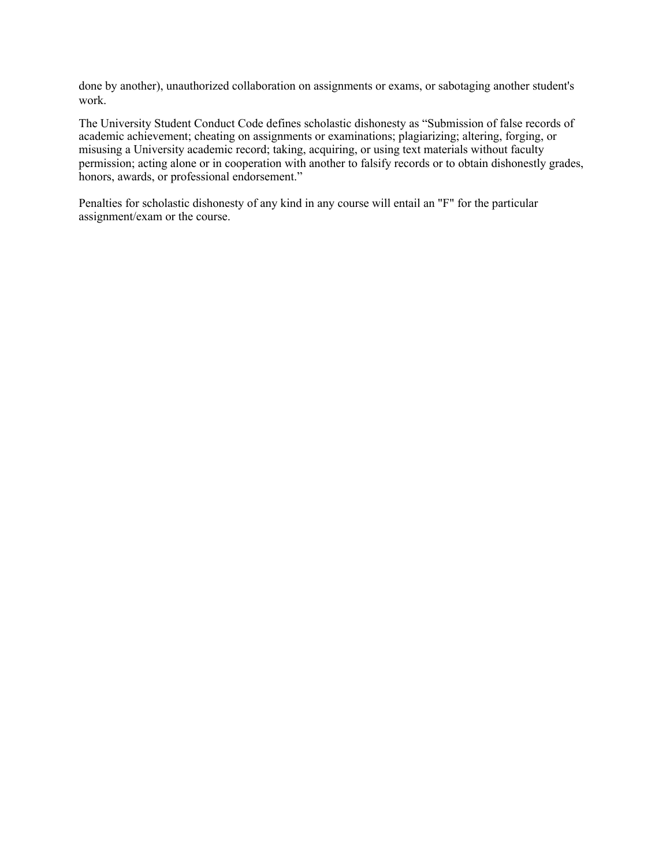done by another), unauthorized collaboration on assignments or exams, or sabotaging another student's work.

The University Student Conduct Code defines scholastic dishonesty as "Submission of false records of academic achievement; cheating on assignments or examinations; plagiarizing; altering, forging, or misusing a University academic record; taking, acquiring, or using text materials without faculty permission; acting alone or in cooperation with another to falsify records or to obtain dishonestly grades, honors, awards, or professional endorsement."

Penalties for scholastic dishonesty of any kind in any course will entail an "F" for the particular assignment/exam or the course.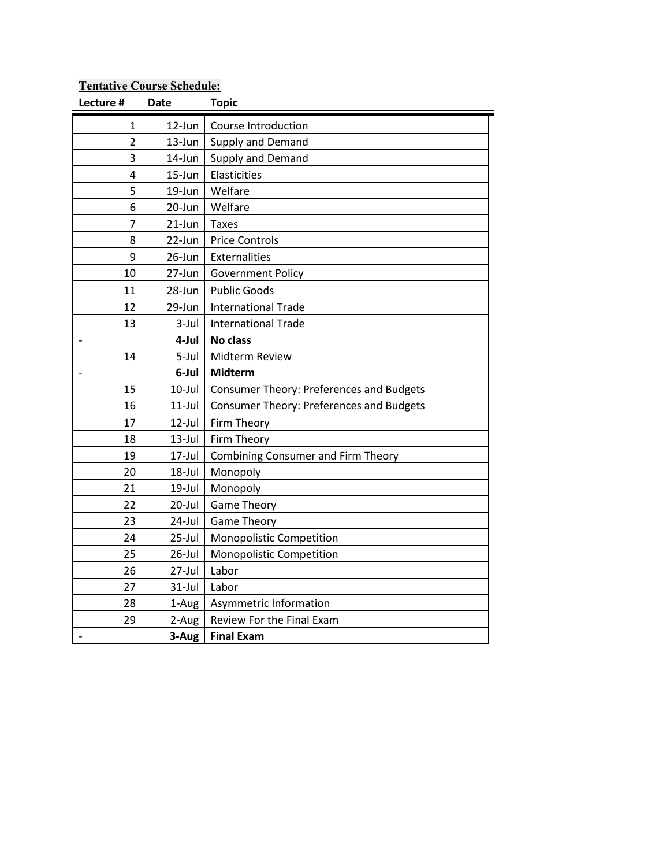# **Lecture # Date Topic** 1 12-Jun Course Introduction 2 | 13-Jun | Supply and Demand 3 | 14-Jun | Supply and Demand 4 15-Jun | Elasticities 5 19-Jun Welfare 6 20-Jun Welfare  $7$  21-Jun Taxes 8 22-Jun Price Controls 9 26-Jun | Externalities 10 | 27-Jun | Government Policy 11 28-Jun Public Goods 12 | 29-Jun | International Trade 13 3-Jul | International Trade - **4-Jul No class** 14 | 5-Jul | Midterm Review - **6-Jul Midterm** 15 | 10-Jul | Consumer Theory: Preferences and Budgets 16 | 11-Jul | Consumer Theory: Preferences and Budgets 17 | 12-Jul | Firm Theory 18 13-Jul Firm Theory 19 | 17-Jul | Combining Consumer and Firm Theory 20 18-Jul Monopoly 21 19-Jul Monopoly 22 | 20-Jul Game Theory 23 | 24-Jul | Game Theory 24 25-Jul | Monopolistic Competition 25 | 26-Jul | Monopolistic Competition 26 27-Jul Labor 27 31-Jul Labor 28 | 1-Aug | Asymmetric Information 29  $\vert$  2-Aug Review For the Final Exam - **3-Aug Final Exam**

# **Tentative Course Schedule:**